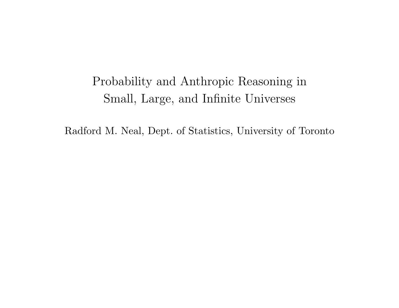# Probability and Anthropic Reasoning inSmall, Large, and Infinite Universes

Radford M. Neal, Dept. of Statistics, University of Toronto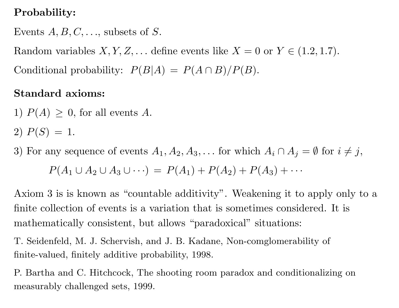## Probability:

Events  $A, B, C, \ldots$ , subsets of  $S.$ 

Random variables  $X, Y, Z, \ldots$  define events like  $X = 0$  or  $Y \in (1.2, 1.7)$ . Conditional probability:  $P(B|A) = P(A \cap B)/P(B)$ .

#### Standard axioms:

1)  $P(A) \geq 0$ , for all events A.

 $2) P(S) = 1.$ 

3) For any sequence of events  $A_1, A_2, A_3, \ldots$  for which  $A_i \cap A_j = \emptyset$  for  $i \neq j$ ,  $P(A_1 \cup A_2 \cup A_3 \cup \cdots) = P(A_1) + P(A_2) + P(A_3) + \cdots$ 

Axiom <sup>3</sup> is is known as "countable additivity". Weakening it to apply only to <sup>a</sup>finite collection of events is <sup>a</sup> variation that is sometimes considered. It ismathematically consistent, but allows "paradoxical" situations:

T. Seidenfeld, M. J. Schervish, and J. B. Kadane, Non-comglomerability of finite-valued, finitely additive probability, 1998.

P. Bartha and C. Hitchcock, The shooting room paradox and conditionalizing onmeasurably challenged sets, 1999.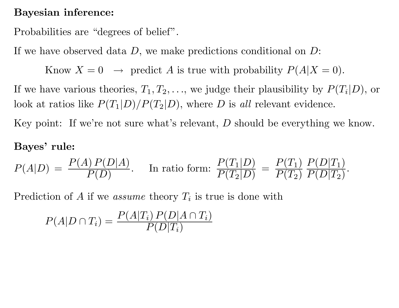#### Bayesian inference:

Probabilities are "degrees of belief".

If we have observed data  $D$ , we make predictions conditional on  $D$ :

Know  $X = 0 \rightarrow$  predict A is true with probability  $P(A|X = 0)$ .

If we have various theories,  $T_1, T_2, \ldots$ , we judge their plausibility by  $P(T_i|D)$ , or look at ratios like  $P(T_1|D)/P(T_2|D)$ , where D is all relevant evidence.

Key point: If we're not sure what's relevant,  $D$  should be everything we know.

#### Bayes' rule:

$$
P(A|D) = \frac{P(A) P(D|A)}{P(D)}.
$$
 In ratio form:  $\frac{P(T_1|D)}{P(T_2|D)} = \frac{P(T_1)}{P(T_2)} \frac{P(D|T_1)}{P(D|T_2)}.$ 

Prediction of A if we *assume* theory  $T_i$  is true is done with

$$
P(A|D \cap T_i) = \frac{P(A|T_i) P(D|A \cap T_i)}{P(D|T_i)}
$$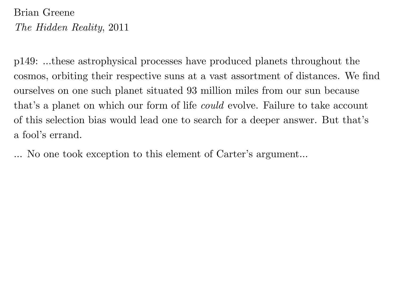## Brian GreeneThe Hidden Reality, <sup>2011</sup>

<sup>p</sup>149: ...these astrophysical processes have produced <sup>p</sup>lanets throughout thecosmos, orbiting their respective suns at <sup>a</sup> vast assortment of distances. We findourselves on one such <sup>p</sup>lanet situated <sup>93</sup> million miles from our sun becausethat's a planet on which our form of life *could* evolve. Failure to take account of this selection bias would lead one to search for <sup>a</sup> deeper answer. But that's<sup>a</sup> fool's errand.

No one took exception to this element of Carter's argument...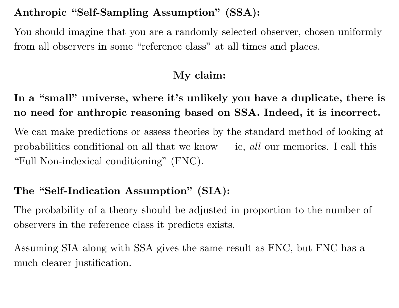### Anthropic "Self-Sampling Assumption" (SSA):

You should imagine that you are <sup>a</sup> randomly selected observer, chosen uniformlyfrom all observers in some "reference class" at all times and places.

### My claim:

In a "small" universe, where it's unlikely you have a duplicate, there is no need for anthropic reasoning based on SSA. Indeed, it is incorrect.

We can make predictions or assess theories by the standard method of looking atprobabilities conditional on all that we know — ie, all our memories. I call this "Full Non-indexical conditioning" (FNC).

## The "Self-Indication Assumption" (SIA):

The probability of <sup>a</sup> theory should be adjusted in proportion to the number of observers in the reference class it predicts exists.

Assuming SIA along with SSA <sup>g</sup>ives the same result as FNC, but FNC has <sup>a</sup>much clearer justification.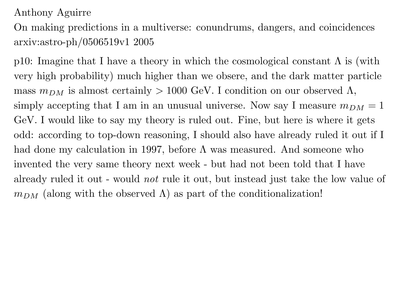#### Anthony Aguirre

On making predictions in <sup>a</sup> multiverse: conundrums, dangers, and coincidencesarxiv:astro-ph/0506519v1 <sup>2005</sup>

p10: Imagine that I have a theory in which the cosmological constant  $\Lambda$  is (with very high probability) much higher than we obsere, and the dark matter particlemass  $m_{DM}$  is almost certainly  $> 1000$  GeV. I condition on our observed  $\Lambda$ , simply accepting that I am in an unusual universe. Now say I measure  $m_{DM} = 1$ GeV. I would like to say my theory is ruled out. Fine, but here is where it gets odd: according to top-down reasoning, <sup>I</sup> should also have already ruled it out if <sup>I</sup>had done my calculation in 1997, before  $\Lambda$  was measured. And someone who invented the very same theory next week - but had not been told that <sup>I</sup> have already ruled it out - would not rule it out, but instead just take the low value of  $m_{DM}$  (along with the observed  $\Lambda$ ) as part of the conditionalization!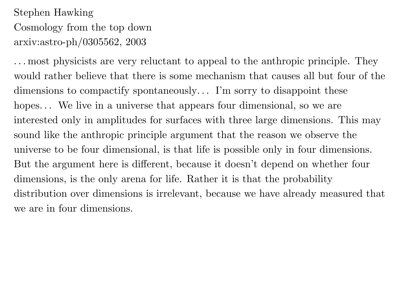## Stephen HawkingCosmology from the top downarxiv:astro-ph/0305562, <sup>2003</sup>

. . . most <sup>p</sup>hysicists are very reluctant to appea<sup>l</sup> to the anthropic principle. Theywould rather believe that there is some mechanism that causes all but four of thedimensions to compactify spontaneously. . . I'm sorry to disappoint thesehopes... We live in a universe that appears four dimensional, so we are interested only in amplitudes for surfaces with three large dimensions. This maysound like the anthropic principle argument that the reason we observe the universe to be four dimensional, is that life is possible only in four dimensions. But the argument here is different, because it doesn't depend on whether four dimensions, is the only arena for life. Rather it is that the probabilitydistribution over dimensions is irrelevant, because we have already measured thatwe are in four dimensions.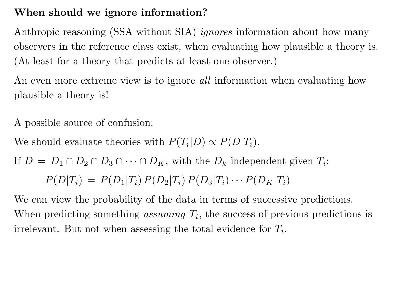### When should we ignore information?

Anthropic reasoning (SSA without SIA) *ignores* information about how many observers in the reference class exist, when evaluating how <sup>p</sup>lausible <sup>a</sup> theory is. (At least for <sup>a</sup> theory that predicts at least one observer.)

An even more extreme view is to ignore *all* information when evaluating how <sup>p</sup>lausible <sup>a</sup> theory is!

<sup>A</sup> possible source of confusion:

We should evaluate theories with  $P(T_i|D) \propto P(D|T_i)$ .

If  $D = D_1 \cap D_2 \cap D_3 \cap \cdots \cap D_K$ , with the  $D_k$  independent given  $T_i$ :

 $P(D|T_i) \,=\, P(D_1|T_i)\,P(D_2|T_i)\,P(D_3|T_i)\cdots P(D_K|T_i)$ 

We can view the probability of the data in terms of successive predictions. When predicting something *assuming*  $T_i$ , the success of previous predictions is irrelevant. But not when assessing the total evidence for  $T_i$ .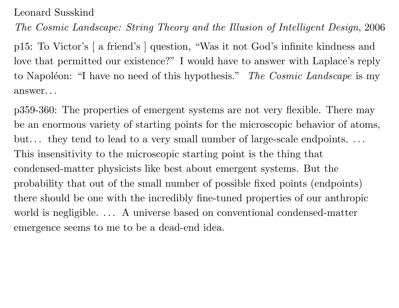Leonard Susskind

The Cosmic Landscape: String Theory and the Illusion of Intelligent Design, <sup>2006</sup>

<sup>p</sup>15: To Victor's [ <sup>a</sup> friend's ] question, "Was it not God's infinite kindness andlove that permitted our existence?" <sup>I</sup> would have to answer with Laplace's replyto Napoléon: "I have no need of this hypothesis." *The Cosmic Landscape* is my answer. . .

p359-360: The properties of emergent systems are not very flexible. There maybe an enormous variety of starting points for the microscopic behavior of atoms, but... they tend to lead to a very small number of large-scale endpoints... This insensitivity to the microscopic starting point is the thing that condensed-matter <sup>p</sup>hysicists like best about emergent systems. But theprobability that out of the small number of possible fixed points (endpoints)there should be one with the incredibly fine-tuned properties of our anthropicworld is negligible. ... A universe based on conventional condensed-matter emergence seems to me to be <sup>a</sup> dead-end idea.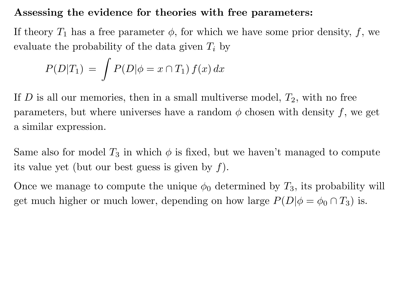#### Assessing the evidence for theories with free parameters:

If theory  $T_1$  has a free parameter  $\phi$ , for which we have some prior density,  $f$ , we evaluate the probability of the data given  $T_i$  by

$$
P(D|T_1) = \int P(D|\phi = x \cap T_1) f(x) dx
$$

If  $D$  is all our memories, then in a small multiverse model,  $T_2$ , with no free parameters, but where universes have a random  $\phi$  chosen with density  $f$ , we get <sup>a</sup> similar expression.

Same also for model  $T_3$  in which  $\phi$  is fixed, but we haven't managed to compute its value yet (but our best guess is given by  $f$ ).

Once we manage to compute the unique  $\phi_0$  determined by  $T_3$ , its probability will get much higher or much lower, depending on how large  $P(D|\phi=\phi_0\cap T_3)$  is.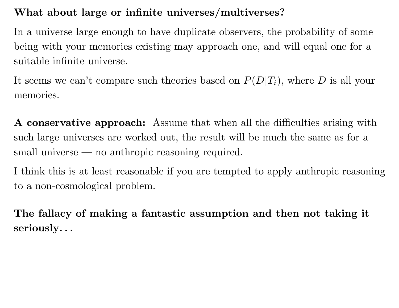## What about large or infinite universes/multiverses?

In <sup>a</sup> universe large enoug<sup>h</sup> to have duplicate observers, the probability of somebeing with your memories existing may approac<sup>h</sup> one, and will equa<sup>l</sup> one for <sup>a</sup>suitable infinite universe.

It seems we can't compare such theories based on  $P(D|T_i)$ , where D is all your memories.

<sup>A</sup> conservative approach: Assume that when all the difficulties arising withsuch large universes are worked out, the result will be much the same as for <sup>a</sup>small universe — no anthropic reasoning required.

<sup>I</sup> think this is at least reasonable if you are tempted to apply anthropic reasoning to <sup>a</sup> non-cosmological problem.

The fallacy of making <sup>a</sup> fantastic assumption and then not taking itseriously. . .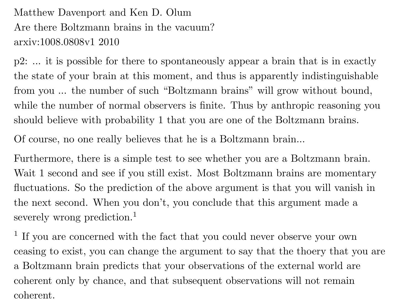Matthew Davenport and Ken D. Olum Are there Boltzmann brains in the vacuum?arxiv:1008.0808v1 <sup>2010</sup>

<sup>p</sup>2: ... it is possible for there to spontaneously appear <sup>a</sup> brain that is in exactlythe state of your brain at this moment, and thus is apparently indistinguishable from you ... the number of such "Boltzmann brains" will grow without bound, while the number of normal observers is finite. Thus by anthropic reasoning youshould believe with probability <sup>1</sup> that you are one of the Boltzmann brains.

Of course, no one really believes that he is <sup>a</sup> Boltzmann brain...

Furthermore, there is <sup>a</sup> simple test to see whether you are <sup>a</sup> Boltzmann brain. Wait 1 second and see if you still exist. Most Boltzmann brains are momentary fluctuations. So the prediction of the above argument is that you will vanish inthe next second. When you don't, you conclude that this argument made <sup>a</sup>severely wrong prediction. 1

<sup>1</sup> If you are concerned with the fact that you could never observe your own ceasing to exist, you can change the argument to say that the thoery that you are<sup>a</sup> Boltzmann brain predicts that your observations of the external world arecoherent only by chance, and that subsequent observations will not remaincoherent.